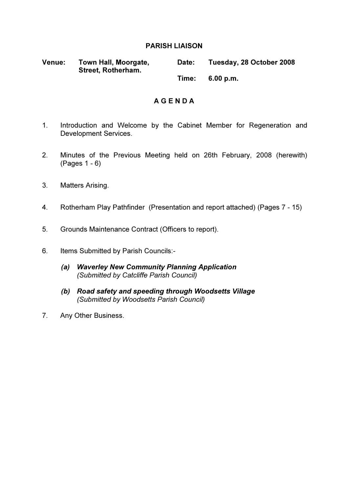#### PARISH LIAISON

| <b>Venue:</b> | Town Hall, Moorgate,<br><b>Street, Rotherham.</b> | <b>Date:</b> | Tuesday, 28 October 2008 |
|---------------|---------------------------------------------------|--------------|--------------------------|
|               |                                                   | Time:        | 6.00 p.m.                |

#### A G E N D A

- 1. Introduction and Welcome by the Cabinet Member for Regeneration and Development Services.
- 2. Minutes of the Previous Meeting held on 26th February, 2008 (herewith) (Pages 1 - 6)
- 3. Matters Arising.
- 4. Rotherham Play Pathfinder (Presentation and report attached) (Pages 7 15)
- 5. Grounds Maintenance Contract (Officers to report).
- 6. Items Submitted by Parish Councils:-
	- (a) Waverley New Community Planning Application (Submitted by Catcliffe Parish Council)
	- (b) Road safety and speeding through Woodsetts Village (Submitted by Woodsetts Parish Council)
- 7. Any Other Business.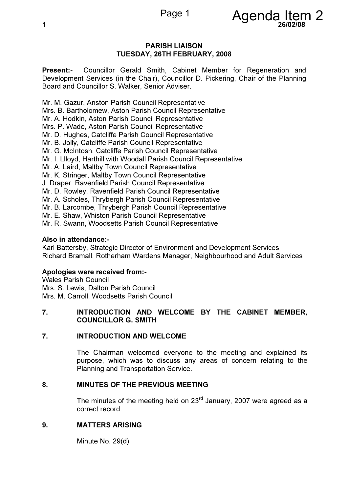

#### PARISH LIAISON TUESDAY, 26TH FEBRUARY, 2008

Present:- Councillor Gerald Smith, Cabinet Member for Regeneration and Development Services (in the Chair), Councillor D. Pickering, Chair of the Planning Board and Councillor S. Walker, Senior Adviser.

Mr. M. Gazur, Anston Parish Council Representative Mrs. B. Bartholomew, Aston Parish Council Representative Mr. A. Hodkin, Aston Parish Council Representative Mrs. P. Wade, Aston Parish Council Representative Mr. D. Hughes, Catcliffe Parish Council Representative Mr. B. Jolly, Catcliffe Parish Council Representative Mr. G. McIntosh, Catcliffe Parish Council Representative Mr. I. Llloyd, Harthill with Woodall Parish Council Representative Mr. A. Laird, Maltby Town Council Representative Mr. K. Stringer, Maltby Town Council Representative J. Draper, Ravenfield Parish Council Representative Mr. D. Rowley, Ravenfield Parish Council Representative Mr. A. Scholes, Thrybergh Parish Council Representative Mr. B. Larcombe, Thrybergh Parish Council Representative Mr. E. Shaw, Whiston Parish Council Representative Mr. R. Swann, Woodsetts Parish Council Representative

#### Also in attendance:-

Karl Battersby, Strategic Director of Environment and Development Services Richard Bramall, Rotherham Wardens Manager, Neighbourhood and Adult Services

#### Apologies were received from:-

Wales Parish Council Mrs. S. Lewis, Dalton Parish Council Mrs. M. Carroll, Woodsetts Parish Council

#### 7. INTRODUCTION AND WELCOME BY THE CABINET MEMBER, COUNCILLOR G. SMITH

#### 7. INTRODUCTION AND WELCOME

 The Chairman welcomed everyone to the meeting and explained its purpose, which was to discuss any areas of concern relating to the Planning and Transportation Service.

#### 8. MINUTES OF THE PREVIOUS MEETING

The minutes of the meeting held on  $23<sup>rd</sup>$  January, 2007 were agreed as a correct record.

#### 9. MATTERS ARISING

Minute No. 29(d)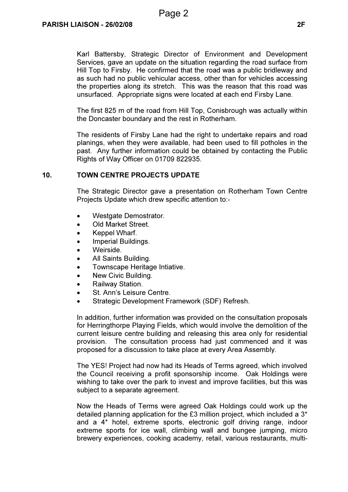Karl Battersby, Strategic Director of Environment and Development Services, gave an update on the situation regarding the road surface from Hill Top to Firsby. He confirmed that the road was a public bridleway and as such had no public vehicular access, other than for vehicles accessing the properties along its stretch. This was the reason that this road was unsurfaced. Appropriate signs were located at each end Firsby Lane.

The first 825 m of the road from Hill Top, Conisbrough was actually within the Doncaster boundary and the rest in Rotherham.

The residents of Firsby Lane had the right to undertake repairs and road planings, when they were available, had been used to fill potholes in the past. Any further information could be obtained by contacting the Public Rights of Way Officer on 01709 822935.

#### 10. TOWN CENTRE PROJECTS UPDATE

 The Strategic Director gave a presentation on Rotherham Town Centre Projects Update which drew specific attention to:-

- Westgate Demostrator.
- Old Market Street.
- Keppel Wharf.
- Imperial Buildings.
- Weirside.
- All Saints Building.
- Townscape Heritage Intiative.
- New Civic Building.
- Railway Station.
- St. Ann's Leisure Centre.
- Strategic Development Framework (SDF) Refresh.

In addition, further information was provided on the consultation proposals for Herringthorpe Playing Fields, which would involve the demolition of the current leisure centre building and releasing this area only for residential provision. The consultation process had just commenced and it was proposed for a discussion to take place at every Area Assembly.

The YES! Project had now had its Heads of Terms agreed, which involved the Council receiving a profit sponsorship income. Oak Holdings were wishing to take over the park to invest and improve facilities, but this was subject to a separate agreement.

Now the Heads of Terms were agreed Oak Holdings could work up the detailed planning application for the £3 million project, which included a 3\* and a 4\* hotel, extreme sports, electronic golf driving range, indoor extreme sports for ice wall, climbing wall and bungee jumping, micro brewery experiences, cooking academy, retail, various restaurants, multi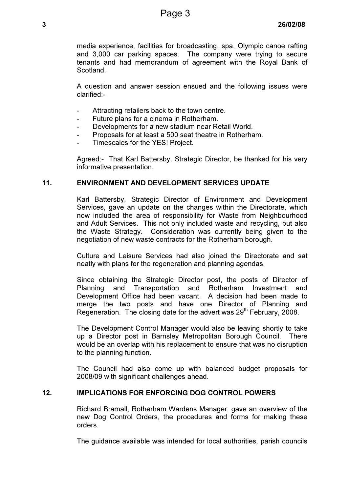media experience, facilities for broadcasting, spa, Olympic canoe rafting and 3,000 car parking spaces. The company were trying to secure tenants and had memorandum of agreement with the Royal Bank of **Scotland** 

A question and answer session ensued and the following issues were clarified:-

- Attracting retailers back to the town centre.
- Future plans for a cinema in Rotherham.
- Developments for a new stadium near Retail World.
- Proposals for at least a 500 seat theatre in Rotherham.
- Timescales for the YES! Project.

Agreed:- That Karl Battersby, Strategic Director, be thanked for his very informative presentation.

#### 11. ENVIRONMENT AND DEVELOPMENT SERVICES UPDATE

 Karl Battersby, Strategic Director of Environment and Development Services, gave an update on the changes within the Directorate, which now included the area of responsibility for Waste from Neighbourhood and Adult Services. This not only included waste and recycling, but also the Waste Strategy. Consideration was currently being given to the negotiation of new waste contracts for the Rotherham borough.

Culture and Leisure Services had also joined the Directorate and sat neatly with plans for the regeneration and planning agendas.

Since obtaining the Strategic Director post, the posts of Director of Planning and Transportation and Rotherham Investment and Development Office had been vacant. A decision had been made to merge the two posts and have one Director of Planning and Regeneration. The closing date for the advert was 29<sup>th</sup> February, 2008.

The Development Control Manager would also be leaving shortly to take up a Director post in Barnsley Metropolitan Borough Council. There would be an overlap with his replacement to ensure that was no disruption to the planning function.

The Council had also come up with balanced budget proposals for 2008/09 with significant challenges ahead.

#### 12. IMPLICATIONS FOR ENFORCING DOG CONTROL POWERS

 Richard Bramall, Rotherham Wardens Manager, gave an overview of the new Dog Control Orders, the procedures and forms for making these orders.

The guidance available was intended for local authorities, parish councils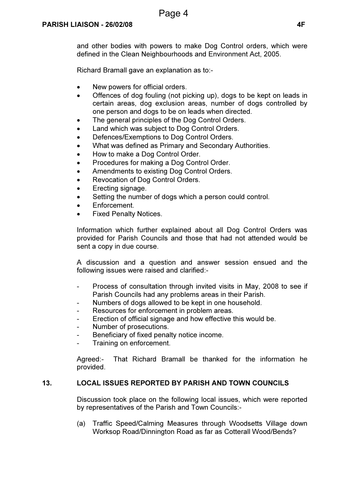and other bodies with powers to make Dog Control orders, which were defined in the Clean Neighbourhoods and Environment Act, 2005.

Richard Bramall gave an explanation as to:-

- New powers for official orders.
- Offences of dog fouling (not picking up), dogs to be kept on leads in certain areas, dog exclusion areas, number of dogs controlled by one person and dogs to be on leads when directed.
- The general principles of the Dog Control Orders.
- Land which was subject to Dog Control Orders.
- Defences/Exemptions to Dog Control Orders.
- What was defined as Primary and Secondary Authorities.
- How to make a Dog Control Order.
- Procedures for making a Dog Control Order.
- Amendments to existing Dog Control Orders.
- Revocation of Dog Control Orders.
- Erecting signage.
- Setting the number of dogs which a person could control.
- Enforcement.
- **Fixed Penalty Notices.**

Information which further explained about all Dog Control Orders was provided for Parish Councils and those that had not attended would be sent a copy in due course.

A discussion and a question and answer session ensued and the following issues were raised and clarified:-

- Process of consultation through invited visits in May, 2008 to see if Parish Councils had any problems areas in their Parish.
- Numbers of dogs allowed to be kept in one household.
- Resources for enforcement in problem areas.
- Erection of official signage and how effective this would be.
- Number of prosecutions.
- Beneficiary of fixed penalty notice income.
- Training on enforcement.

Agreed:- That Richard Bramall be thanked for the information he provided.

#### 13. LOCAL ISSUES REPORTED BY PARISH AND TOWN COUNCILS

 Discussion took place on the following local issues, which were reported by representatives of the Parish and Town Councils:-

(a) Traffic Speed/Calming Measures through Woodsetts Village down Worksop Road/Dinnington Road as far as Cotterall Wood/Bends?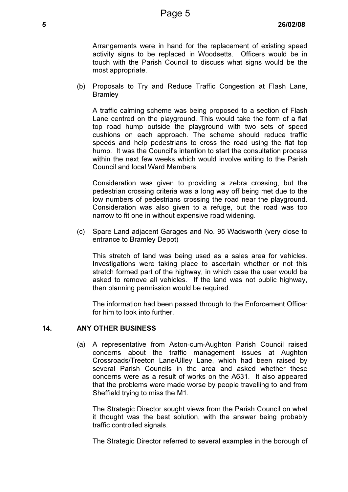Arrangements were in hand for the replacement of existing speed activity signs to be replaced in Woodsetts. Officers would be in touch with the Parish Council to discuss what signs would be the most appropriate.

(b) Proposals to Try and Reduce Traffic Congestion at Flash Lane, **Bramley** 

A traffic calming scheme was being proposed to a section of Flash Lane centred on the playground. This would take the form of a flat top road hump outside the playground with two sets of speed cushions on each approach. The scheme should reduce traffic speeds and help pedestrians to cross the road using the flat top hump. It was the Council's intention to start the consultation process within the next few weeks which would involve writing to the Parish Council and local Ward Members.

Consideration was given to providing a zebra crossing, but the pedestrian crossing criteria was a long way off being met due to the low numbers of pedestrians crossing the road near the playground. Consideration was also given to a refuge, but the road was too narrow to fit one in without expensive road widening.

(c) Spare Land adjacent Garages and No. 95 Wadsworth (very close to entrance to Bramley Depot)

This stretch of land was being used as a sales area for vehicles. Investigations were taking place to ascertain whether or not this stretch formed part of the highway, in which case the user would be asked to remove all vehicles. If the land was not public highway, then planning permission would be required.

 The information had been passed through to the Enforcement Officer for him to look into further.

#### 14. ANY OTHER BUSINESS

 (a) A representative from Aston-cum-Aughton Parish Council raised concerns about the traffic management issues at Aughton Crossroads/Treeton Lane/Ulley Lane, which had been raised by several Parish Councils in the area and asked whether these concerns were as a result of works on the A631. It also appeared that the problems were made worse by people travelling to and from Sheffield trying to miss the M1.

 The Strategic Director sought views from the Parish Council on what it thought was the best solution, with the answer being probably traffic controlled signals.

The Strategic Director referred to several examples in the borough of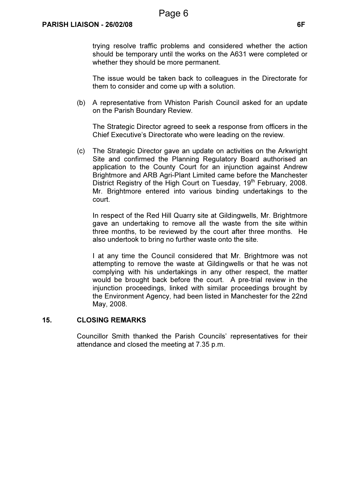trying resolve traffic problems and considered whether the action should be temporary until the works on the A631 were completed or whether they should be more permanent.

 The issue would be taken back to colleagues in the Directorate for them to consider and come up with a solution.

(b) A representative from Whiston Parish Council asked for an update on the Parish Boundary Review.

 The Strategic Director agreed to seek a response from officers in the Chief Executive's Directorate who were leading on the review.

(c) The Strategic Director gave an update on activities on the Arkwright Site and confirmed the Planning Regulatory Board authorised an application to the County Court for an injunction against Andrew Brightmore and ARB Agri-Plant Limited came before the Manchester District Registry of the High Court on Tuesday, 19<sup>th</sup> February, 2008. Mr. Brightmore entered into various binding undertakings to the court.

 In respect of the Red Hill Quarry site at Gildingwells, Mr. Brightmore gave an undertaking to remove all the waste from the site within three months, to be reviewed by the court after three months. He also undertook to bring no further waste onto the site.

 I at any time the Council considered that Mr. Brightmore was not attempting to remove the waste at Gildingwells or that he was not complying with his undertakings in any other respect, the matter would be brought back before the court. A pre-trial review in the injunction proceedings, linked with similar proceedings brought by the Environment Agency, had been listed in Manchester for the 22nd May, 2008.

#### 15. CLOSING REMARKS

 Councillor Smith thanked the Parish Councils' representatives for their attendance and closed the meeting at 7.35 p.m.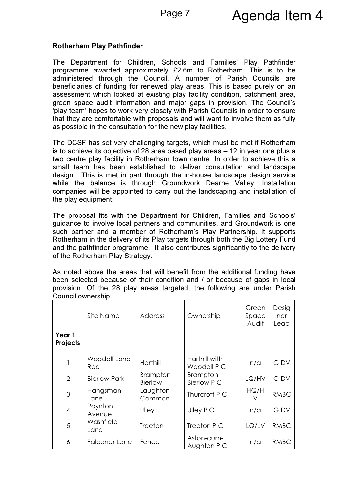#### Rotherham Play Pathfinder

The Department for Children, Schools and Families' Play Pathfinder programme awarded approximately £2.6m to Rotherham. This is to be administered through the Council. A number of Parish Councils are beneficiaries of funding for renewed play areas. This is based purely on an assessment which looked at existing play facility condition, catchment area, green space audit information and major gaps in provision. The Council's 'play team' hopes to work very closely with Parish Councils in order to ensure that they are comfortable with proposals and will want to involve them as fully as possible in the consultation for the new play facilities.

The DCSF has set very challenging targets, which must be met if Rotherham is to achieve its objective of 28 area based play areas – 12 in year one plus a two centre play facility in Rotherham town centre. In order to achieve this a small team has been established to deliver consultation and landscape design. This is met in part through the in-house landscape design service while the balance is through Groundwork Dearne Valley. Installation companies will be appointed to carry out the landscaping and installation of the play equipment.

The proposal fits with the Department for Children, Families and Schools' guidance to involve local partners and communities, and Groundwork is one such partner and a member of Rotherham's Play Partnership. It supports Rotherham in the delivery of its Play targets through both the Big Lottery Fund and the pathfinder programme. It also contributes significantly to the delivery of the Rotherham Play Strategy.

As noted above the areas that will benefit from the additional funding have been selected because of their condition and / or because of gaps in local provision. Of the 28 play areas targeted, the following are under Parish Council ownership:

|                    | Site Name            | <b>Address</b>             | Ownership                      | Green<br>Space<br>Audit | Desig<br>ner<br>Lead |
|--------------------|----------------------|----------------------------|--------------------------------|-------------------------|----------------------|
| Year 1<br>Projects |                      |                            |                                |                         |                      |
|                    |                      |                            |                                |                         |                      |
|                    | Woodall Lane<br>Rec  | Harthill                   | Harthill with<br>Woodall P C   | n/a                     | <b>GDV</b>           |
| $\overline{2}$     | <b>Bierlow Park</b>  | <b>Brampton</b><br>Bierlow | <b>Brampton</b><br>Bierlow P C | LQ/HV                   | <b>GDV</b>           |
| $\mathfrak{S}$     | Hangsman<br>Lane     | Laughton<br>Common         | Thurcroft P C                  | HQ/H                    | <b>RMBC</b>          |
| $\overline{4}$     | Poynton<br>Avenue    | Ulley                      | Ulley P C                      | n/a                     | <b>GDV</b>           |
| 5                  | Washfield<br>Lane    | Treeton                    | Treeton P C                    | LQ/LV                   | <b>RMBC</b>          |
| 6                  | <b>Falconer Lane</b> | Fence                      | Aston-cum-<br>Aughton P C      | n/a                     | <b>RMBC</b>          |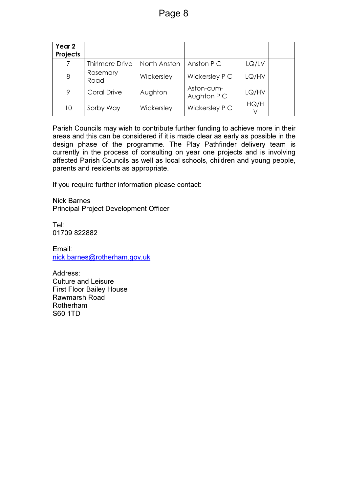| Year <sub>2</sub><br>Projects |                        |              |                           |       |  |
|-------------------------------|------------------------|--------------|---------------------------|-------|--|
|                               | <b>Thirlmere Drive</b> | North Anston | Anston P C                | LQ/LV |  |
| 8                             | Rosemary<br>Road       | Wickersley   | Wickersley P C            | LQ/HV |  |
| 9                             | Coral Drive            | Aughton      | Aston-cum-<br>Aughton P C | LQ/HV |  |
| 10                            | Sorby Way              | Wickersley   | Wickersley P C            | HQ/H  |  |

Parish Councils may wish to contribute further funding to achieve more in their areas and this can be considered if it is made clear as early as possible in the design phase of the programme. The Play Pathfinder delivery team is currently in the process of consulting on year one projects and is involving affected Parish Councils as well as local schools, children and young people, parents and residents as appropriate.

If you require further information please contact:

Nick Barnes Principal Project Development Officer

Tel: 01709 822882

Email: nick.barnes@rotherham.gov.uk

Address: Culture and Leisure First Floor Bailey House Rawmarsh Road Rotherham S60 1TD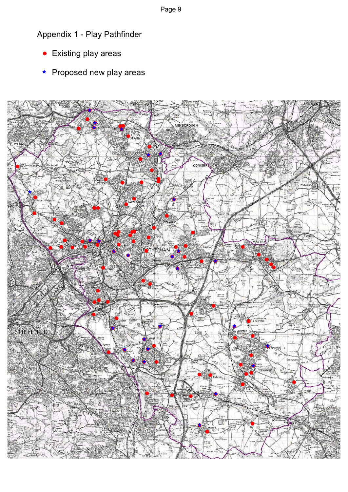Appendix 1 - Play Pathfinder

- Existing play areas  $\bullet$
- \* Proposed new play areas



Page 9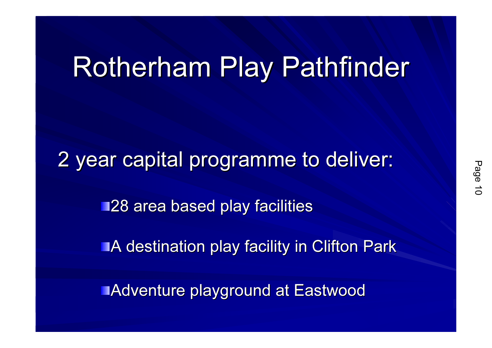# Rotherham Play Pathfinder

2 year capital programme to deliver:

**128 area based play facilities** 

**A destination play facility in Clifton Park** 

Adventure playground at Eastwood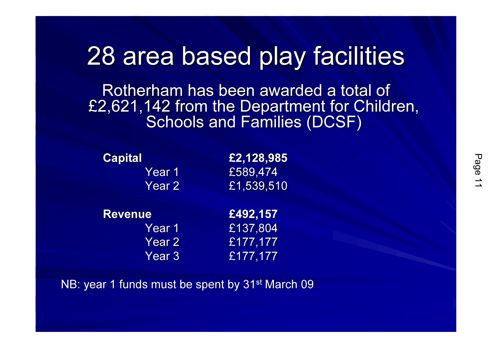## 28 area based play facilities

Rotherham has been awarded a total of £2,621,142 from the Department for Children, Schools and Families (DCSF)

| <b>Capital</b> | £2,128,985              |
|----------------|-------------------------|
| Year 1         | £589,474                |
| Year 2         | $\overline{£}1,539,510$ |
|                |                         |
| <b>Revenue</b> | £492,157                |
| Year 1         | £137,804                |
| Year 2         | £177,177                |

NB: year 1 funds must be spent by 31<sup>st</sup> March 09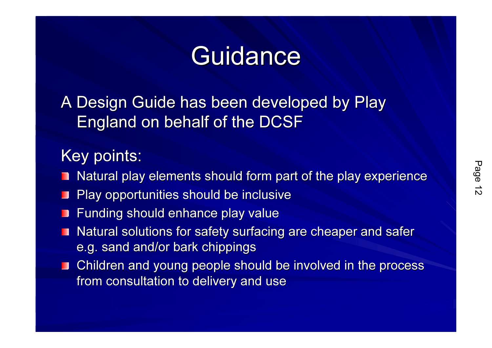# **Guidance**

A Design Guide has been developed by Play England on behalf of the DCSF

### Key points:

- Natural play elements should form part of the play experience
- Play opportunities should be inclusive $\mathbf{r}$
- Funding should enhance play value
- Natural solutions for safety surfacing are cheaper and safer П e.g. sand and/or bark chippings
- Children and young people should be involved in the process from consultation to delivery and use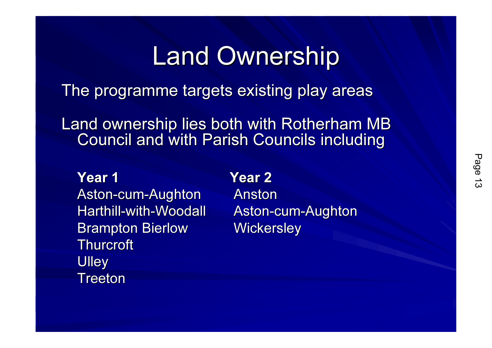## Land Ownership

The programme targets existing play areas

Land ownership lies both with Rotherham MB Council and with Parish Councils including

Year 1Aston-cum-Aughton Harthill-with-Woodall Brampton Bierlow**Thurcroft Ulley** Treeton

### Year 2

 Anston Aston-cum-Aughton'arele w Wickersley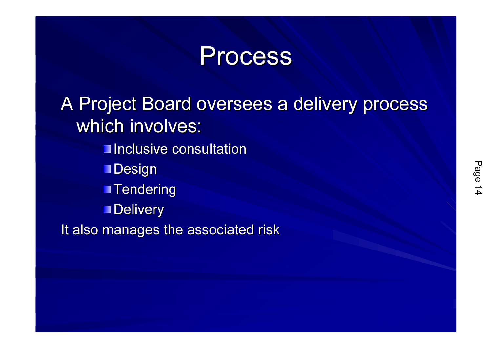### **Process**

A Project Board oversees a delivery process which involves:**Inclusive consultation** 

**Design** 

**Tendering** 

**Delivery** 

It also manages the associated risk